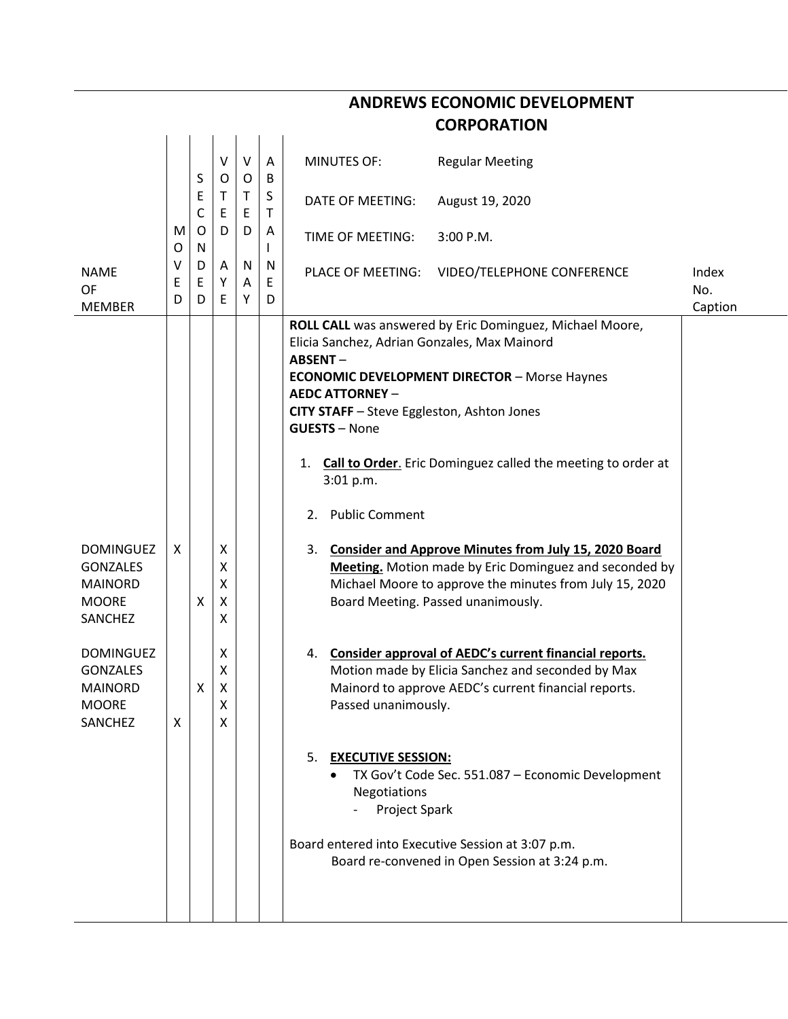| <b>CORPORATION</b>                                                               |             |                  |                       |                    |             |                                                                                                                                                                                                        |                                                                                                                                                                                                                         |                         |  |  |  |  |
|----------------------------------------------------------------------------------|-------------|------------------|-----------------------|--------------------|-------------|--------------------------------------------------------------------------------------------------------------------------------------------------------------------------------------------------------|-------------------------------------------------------------------------------------------------------------------------------------------------------------------------------------------------------------------------|-------------------------|--|--|--|--|
|                                                                                  |             | S                | $\vee$<br>O           | V<br>$\circ$       | A<br>B      | <b>MINUTES OF:</b>                                                                                                                                                                                     | <b>Regular Meeting</b>                                                                                                                                                                                                  |                         |  |  |  |  |
|                                                                                  | M<br>O      | Ε<br>С<br>O<br>N | Τ<br>E<br>D           | T<br>E<br>D        | S<br>$\top$ | <b>DATE OF MEETING:</b>                                                                                                                                                                                | August 19, 2020                                                                                                                                                                                                         |                         |  |  |  |  |
|                                                                                  |             |                  |                       |                    | A           | TIME OF MEETING:                                                                                                                                                                                       | 3:00 P.M.                                                                                                                                                                                                               |                         |  |  |  |  |
| <b>NAME</b><br>OF<br><b>MEMBER</b>                                               | ٧<br>Ε<br>D | D<br>Е<br>D      | Α<br>Y<br>E           | <b>N</b><br>Α<br>Υ | N<br>Ε<br>D | PLACE OF MEETING:                                                                                                                                                                                      | VIDEO/TELEPHONE CONFERENCE                                                                                                                                                                                              | Index<br>No.<br>Caption |  |  |  |  |
|                                                                                  |             |                  |                       |                    |             | Elicia Sanchez, Adrian Gonzales, Max Mainord<br><b>ABSENT-</b><br><b>AEDC ATTORNEY -</b><br>CITY STAFF - Steve Eggleston, Ashton Jones<br><b>GUESTS - None</b><br>1.<br>3:01 p.m.<br>2. Public Comment | ROLL CALL was answered by Eric Dominguez, Michael Moore,<br><b>ECONOMIC DEVELOPMENT DIRECTOR - Morse Haynes</b><br>Call to Order. Eric Dominguez called the meeting to order at                                         |                         |  |  |  |  |
| <b>DOMINGUEZ</b><br><b>GONZALES</b><br><b>MAINORD</b><br><b>MOORE</b><br>SANCHEZ | X           | х                | Χ<br>Χ<br>Χ<br>Χ<br>х |                    |             | 3.                                                                                                                                                                                                     | <b>Consider and Approve Minutes from July 15, 2020 Board</b><br>Meeting. Motion made by Eric Dominguez and seconded by<br>Michael Moore to approve the minutes from July 15, 2020<br>Board Meeting. Passed unanimously. |                         |  |  |  |  |
| <b>DOMINGUEZ</b><br><b>GONZALES</b><br><b>MAINORD</b><br><b>MOORE</b><br>SANCHEZ | X           | x                | X<br>Χ<br>x<br>X<br>X |                    |             | 4.<br>Passed unanimously.                                                                                                                                                                              | Consider approval of AEDC's current financial reports.<br>Motion made by Elicia Sanchez and seconded by Max<br>Mainord to approve AEDC's current financial reports.                                                     |                         |  |  |  |  |
|                                                                                  |             |                  |                       |                    |             | 5. EXECUTIVE SESSION:<br>Negotiations<br>Project Spark<br>Board entered into Executive Session at 3:07 p.m.                                                                                            | TX Gov't Code Sec. 551.087 - Economic Development<br>Board re-convened in Open Session at 3:24 p.m.                                                                                                                     |                         |  |  |  |  |
|                                                                                  |             |                  |                       |                    |             |                                                                                                                                                                                                        |                                                                                                                                                                                                                         |                         |  |  |  |  |

**ANDREWS ECONOMIC DEVELOPMENT**